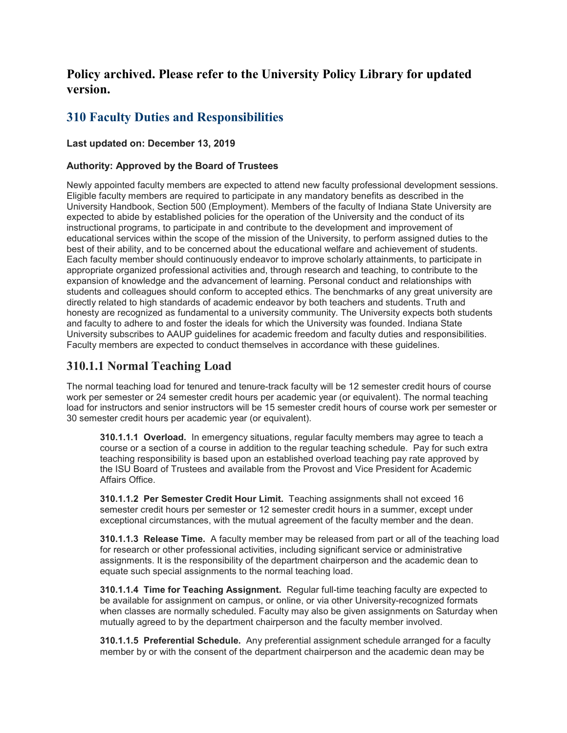# **Policy archived. Please refer to the University Policy Library for updated version.**

# **310 Faculty Duties and Responsibilities**

#### **Last updated on: December 13, 2019**

#### **Authority: Approved by the Board of Trustees**

Newly appointed faculty members are expected to attend new faculty professional development sessions. Eligible faculty members are required to participate in any mandatory benefits as described in the University Handbook, Section 500 (Employment). Members of the faculty of Indiana State University are expected to abide by established policies for the operation of the University and the conduct of its instructional programs, to participate in and contribute to the development and improvement of educational services within the scope of the mission of the University, to perform assigned duties to the best of their ability, and to be concerned about the educational welfare and achievement of students. Each faculty member should continuously endeavor to improve scholarly attainments, to participate in appropriate organized professional activities and, through research and teaching, to contribute to the expansion of knowledge and the advancement of learning. Personal conduct and relationships with students and colleagues should conform to accepted ethics. The benchmarks of any great university are directly related to high standards of academic endeavor by both teachers and students. Truth and honesty are recognized as fundamental to a university community. The University expects both students and faculty to adhere to and foster the ideals for which the University was founded. Indiana State University subscribes to AAUP guidelines for academic freedom and faculty duties and responsibilities. Faculty members are expected to conduct themselves in accordance with these guidelines.

## **310.1.1 Normal Teaching Load**

The normal teaching load for tenured and tenure-track faculty will be 12 semester credit hours of course work per semester or 24 semester credit hours per academic year (or equivalent). The normal teaching load for instructors and senior instructors will be 15 semester credit hours of course work per semester or 30 semester credit hours per academic year (or equivalent).

**310.1.1.1 Overload.** In emergency situations, regular faculty members may agree to teach a course or a section of a course in addition to the regular teaching schedule. Pay for such extra teaching responsibility is based upon an established overload teaching pay rate approved by the ISU Board of Trustees and available from the Provost and Vice President for Academic Affairs Office.

**310.1.1.2 Per Semester Credit Hour Limit.** Teaching assignments shall not exceed 16 semester credit hours per semester or 12 semester credit hours in a summer, except under exceptional circumstances, with the mutual agreement of the faculty member and the dean.

**310.1.1.3 Release Time.** A faculty member may be released from part or all of the teaching load for research or other professional activities, including significant service or administrative assignments. It is the responsibility of the department chairperson and the academic dean to equate such special assignments to the normal teaching load.

**310.1.1.4 Time for Teaching Assignment.** Regular full-time teaching faculty are expected to be available for assignment on campus, or online, or via other University-recognized formats when classes are normally scheduled. Faculty may also be given assignments on Saturday when mutually agreed to by the department chairperson and the faculty member involved.

**310.1.1.5 Preferential Schedule.** Any preferential assignment schedule arranged for a faculty member by or with the consent of the department chairperson and the academic dean may be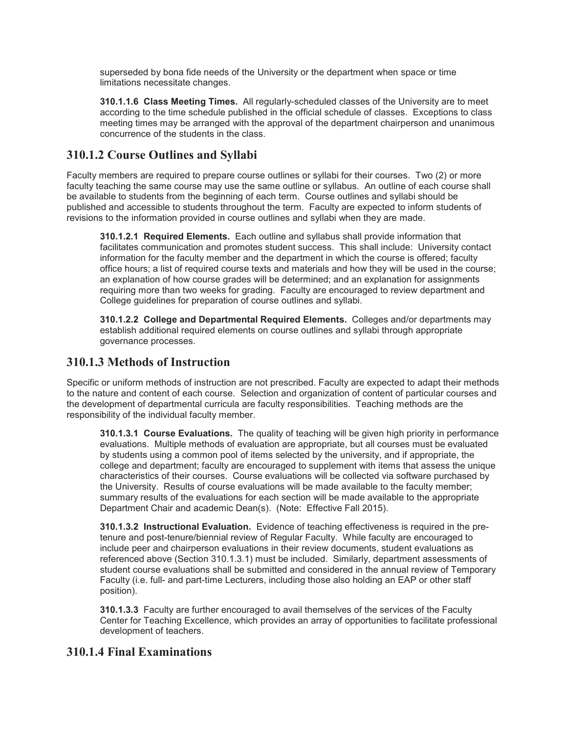superseded by bona fide needs of the University or the department when space or time limitations necessitate changes.

**310.1.1.6 Class Meeting Times.** All regularly-scheduled classes of the University are to meet according to the time schedule published in the official schedule of classes. Exceptions to class meeting times may be arranged with the approval of the department chairperson and unanimous concurrence of the students in the class.

## **310.1.2 Course Outlines and Syllabi**

Faculty members are required to prepare course outlines or syllabi for their courses. Two (2) or more faculty teaching the same course may use the same outline or syllabus. An outline of each course shall be available to students from the beginning of each term. Course outlines and syllabi should be published and accessible to students throughout the term. Faculty are expected to inform students of revisions to the information provided in course outlines and syllabi when they are made.

**310.1.2.1 Required Elements.** Each outline and syllabus shall provide information that facilitates communication and promotes student success. This shall include: University contact information for the faculty member and the department in which the course is offered; faculty office hours; a list of required course texts and materials and how they will be used in the course; an explanation of how course grades will be determined; and an explanation for assignments requiring more than two weeks for grading. Faculty are encouraged to review department and College guidelines for preparation of course outlines and syllabi.

**310.1.2.2 College and Departmental Required Elements.** Colleges and/or departments may establish additional required elements on course outlines and syllabi through appropriate governance processes.

### **310.1.3 Methods of Instruction**

Specific or uniform methods of instruction are not prescribed. Faculty are expected to adapt their methods to the nature and content of each course. Selection and organization of content of particular courses and the development of departmental curricula are faculty responsibilities. Teaching methods are the responsibility of the individual faculty member.

**310.1.3.1 Course Evaluations.** The quality of teaching will be given high priority in performance evaluations. Multiple methods of evaluation are appropriate, but all courses must be evaluated by students using a common pool of items selected by the university, and if appropriate, the college and department; faculty are encouraged to supplement with items that assess the unique characteristics of their courses. Course evaluations will be collected via software purchased by the University. Results of course evaluations will be made available to the faculty member; summary results of the evaluations for each section will be made available to the appropriate Department Chair and academic Dean(s). (Note: Effective Fall 2015).

**310.1.3.2 Instructional Evaluation.** Evidence of teaching effectiveness is required in the pretenure and post-tenure/biennial review of Regular Faculty. While faculty are encouraged to include peer and chairperson evaluations in their review documents, student evaluations as referenced above (Section 310.1.3.1) must be included. Similarly, department assessments of student course evaluations shall be submitted and considered in the annual review of Temporary Faculty (i.e. full- and part-time Lecturers, including those also holding an EAP or other staff position).

**310.1.3.3** Faculty are further encouraged to avail themselves of the services of the Faculty Center for Teaching Excellence, which provides an array of opportunities to facilitate professional development of teachers.

### **310.1.4 Final Examinations**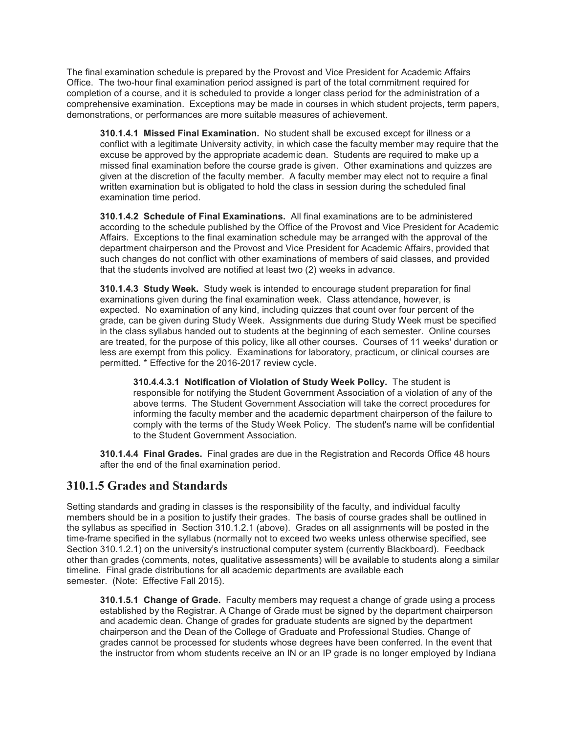The final examination schedule is prepared by the Provost and Vice President for Academic Affairs Office. The two-hour final examination period assigned is part of the total commitment required for completion of a course, and it is scheduled to provide a longer class period for the administration of a comprehensive examination. Exceptions may be made in courses in which student projects, term papers, demonstrations, or performances are more suitable measures of achievement.

**310.1.4.1 Missed Final Examination.** No student shall be excused except for illness or a conflict with a legitimate University activity, in which case the faculty member may require that the excuse be approved by the appropriate academic dean. Students are required to make up a missed final examination before the course grade is given. Other examinations and quizzes are given at the discretion of the faculty member. A faculty member may elect not to require a final written examination but is obligated to hold the class in session during the scheduled final examination time period.

**310.1.4.2 Schedule of Final Examinations.** All final examinations are to be administered according to the schedule published by the Office of the Provost and Vice President for Academic Affairs. Exceptions to the final examination schedule may be arranged with the approval of the department chairperson and the Provost and Vice President for Academic Affairs, provided that such changes do not conflict with other examinations of members of said classes, and provided that the students involved are notified at least two (2) weeks in advance.

**310.1.4.3 Study Week.** Study week is intended to encourage student preparation for final examinations given during the final examination week. Class attendance, however, is expected. No examination of any kind, including quizzes that count over four percent of the grade, can be given during Study Week. Assignments due during Study Week must be specified in the class syllabus handed out to students at the beginning of each semester. Online courses are treated, for the purpose of this policy, like all other courses. Courses of 11 weeks' duration or less are exempt from this policy. Examinations for laboratory, practicum, or clinical courses are permitted. \* Effective for the 2016-2017 review cycle.

**310.4.4.3.1 Notification of Violation of Study Week Policy.** The student is responsible for notifying the Student Government Association of a violation of any of the above terms. The Student Government Association will take the correct procedures for informing the faculty member and the academic department chairperson of the failure to comply with the terms of the Study Week Policy. The student's name will be confidential to the Student Government Association.

**310.1.4.4 Final Grades.** Final grades are due in the Registration and Records Office 48 hours after the end of the final examination period.

### **310.1.5 Grades and Standards**

Setting standards and grading in classes is the responsibility of the faculty, and individual faculty members should be in a position to justify their grades. The basis of course grades shall be outlined in the syllabus as specified in Section 310.1.2.1 (above). Grades on all assignments will be posted in the time-frame specified in the syllabus (normally not to exceed two weeks unless otherwise specified, see Section 310.1.2.1) on the university's instructional computer system (currently Blackboard). Feedback other than grades (comments, notes, qualitative assessments) will be available to students along a similar timeline. Final grade distributions for all academic departments are available each semester. (Note: Effective Fall 2015).

**310.1.5.1 Change of Grade.** Faculty members may request a change of grade using a process established by the Registrar. A Change of Grade must be signed by the department chairperson and academic dean. Change of grades for graduate students are signed by the department chairperson and the Dean of the College of Graduate and Professional Studies. Change of grades cannot be processed for students whose degrees have been conferred. In the event that the instructor from whom students receive an IN or an IP grade is no longer employed by Indiana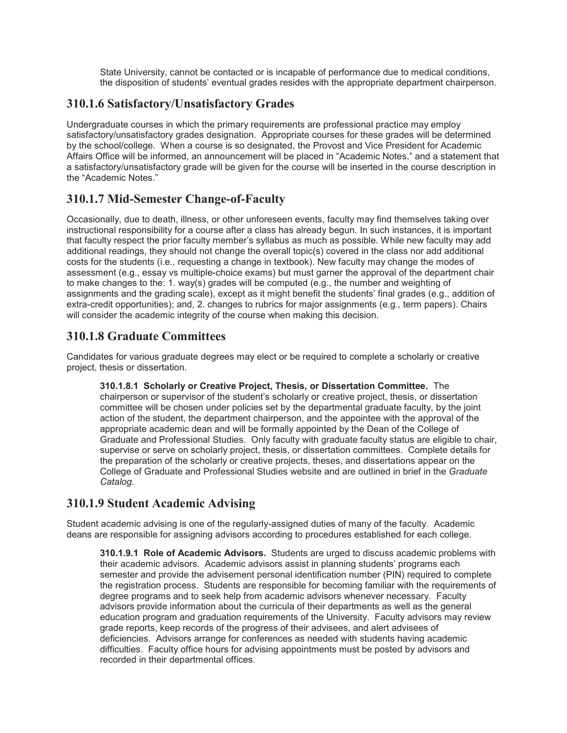State University, cannot be contacted or is incapable of performance due to medical conditions, the disposition of students' eventual grades resides with the appropriate department chairperson.

## **310.1.6 Satisfactory/Unsatisfactory Grades**

Undergraduate courses in which the primary requirements are professional practice may employ satisfactory/unsatisfactory grades designation. Appropriate courses for these grades will be determined by the school/college. When a course is so designated, the Provost and Vice President for Academic Affairs Office will be informed, an announcement will be placed in "Academic Notes," and a statement that a satisfactory/unsatisfactory grade will be given for the course will be inserted in the course description in the "Academic Notes."

## **310.1.7 Mid-Semester Change-of-Faculty**

Occasionally, due to death, illness, or other unforeseen events, faculty may find themselves taking over instructional responsibility for a course after a class has already begun. In such instances, it is important that faculty respect the prior faculty member's syllabus as much as possible. While new faculty may add additional readings, they should not change the overall topic(s) covered in the class nor add additional costs for the students (i.e., requesting a change in textbook). New faculty may change the modes of assessment (e.g., essay vs multiple-choice exams) but must garner the approval of the department chair to make changes to the: 1. way(s) grades will be computed (e.g., the number and weighting of assignments and the grading scale), except as it might benefit the students' final grades (e.g., addition of extra-credit opportunities); and, 2. changes to rubrics for major assignments (e.g., term papers). Chairs will consider the academic integrity of the course when making this decision.

## **310.1.8 Graduate Committees**

Candidates for various graduate degrees may elect or be required to complete a scholarly or creative project, thesis or dissertation.

**310.1.8.1 Scholarly or Creative Project, Thesis, or Dissertation Committee.** The chairperson or supervisor of the student's scholarly or creative project, thesis, or dissertation committee will be chosen under policies set by the departmental graduate faculty, by the joint action of the student, the department chairperson, and the appointee with the approval of the appropriate academic dean and will be formally appointed by the Dean of the College of Graduate and Professional Studies. Only faculty with graduate faculty status are eligible to chair, supervise or serve on scholarly project, thesis, or dissertation committees. Complete details for the preparation of the scholarly or creative projects, theses, and dissertations appear on the College of Graduate and Professional Studies website and are outlined in brief in the *Graduate Catalog*.

## **310.1.9 Student Academic Advising**

Student academic advising is one of the regularly-assigned duties of many of the faculty. Academic deans are responsible for assigning advisors according to procedures established for each college.

**310.1.9.1 Role of Academic Advisors.** Students are urged to discuss academic problems with their academic advisors. Academic advisors assist in planning students' programs each semester and provide the advisement personal identification number (PIN) required to complete the registration process. Students are responsible for becoming familiar with the requirements of degree programs and to seek help from academic advisors whenever necessary. Faculty advisors provide information about the curricula of their departments as well as the general education program and graduation requirements of the University. Faculty advisors may review grade reports, keep records of the progress of their advisees, and alert advisees of deficiencies. Advisors arrange for conferences as needed with students having academic difficulties. Faculty office hours for advising appointments must be posted by advisors and recorded in their departmental offices.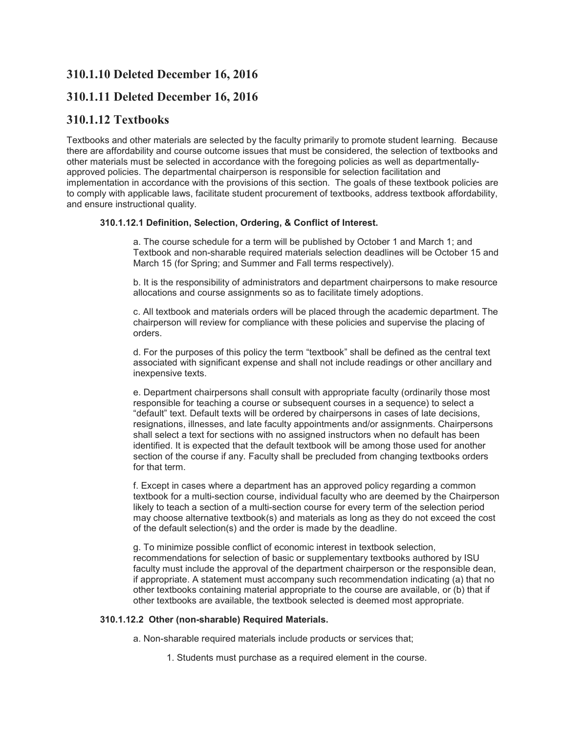## **310.1.10 Deleted December 16, 2016**

### **310.1.11 Deleted December 16, 2016**

### **310.1.12 Textbooks**

Textbooks and other materials are selected by the faculty primarily to promote student learning. Because there are affordability and course outcome issues that must be considered, the selection of textbooks and other materials must be selected in accordance with the foregoing policies as well as departmentallyapproved policies. The departmental chairperson is responsible for selection facilitation and implementation in accordance with the provisions of this section. The goals of these textbook policies are to comply with applicable laws, facilitate student procurement of textbooks, address textbook affordability, and ensure instructional quality.

#### **310.1.12.1 Definition, Selection, Ordering, & Conflict of Interest.**

a. The course schedule for a term will be published by October 1 and March 1; and Textbook and non-sharable required materials selection deadlines will be October 15 and March 15 (for Spring; and Summer and Fall terms respectively).

b. It is the responsibility of administrators and department chairpersons to make resource allocations and course assignments so as to facilitate timely adoptions.

c. All textbook and materials orders will be placed through the academic department. The chairperson will review for compliance with these policies and supervise the placing of orders.

d. For the purposes of this policy the term "textbook" shall be defined as the central text associated with significant expense and shall not include readings or other ancillary and inexpensive texts.

e. Department chairpersons shall consult with appropriate faculty (ordinarily those most responsible for teaching a course or subsequent courses in a sequence) to select a "default" text. Default texts will be ordered by chairpersons in cases of late decisions, resignations, illnesses, and late faculty appointments and/or assignments. Chairpersons shall select a text for sections with no assigned instructors when no default has been identified. It is expected that the default textbook will be among those used for another section of the course if any. Faculty shall be precluded from changing textbooks orders for that term.

f. Except in cases where a department has an approved policy regarding a common textbook for a multi-section course, individual faculty who are deemed by the Chairperson likely to teach a section of a multi-section course for every term of the selection period may choose alternative textbook(s) and materials as long as they do not exceed the cost of the default selection(s) and the order is made by the deadline.

g. To minimize possible conflict of economic interest in textbook selection, recommendations for selection of basic or supplementary textbooks authored by ISU faculty must include the approval of the department chairperson or the responsible dean, if appropriate. A statement must accompany such recommendation indicating (a) that no other textbooks containing material appropriate to the course are available, or (b) that if other textbooks are available, the textbook selected is deemed most appropriate.

#### **310.1.12.2 Other (non-sharable) Required Materials.**

a. Non-sharable required materials include products or services that;

1. Students must purchase as a required element in the course.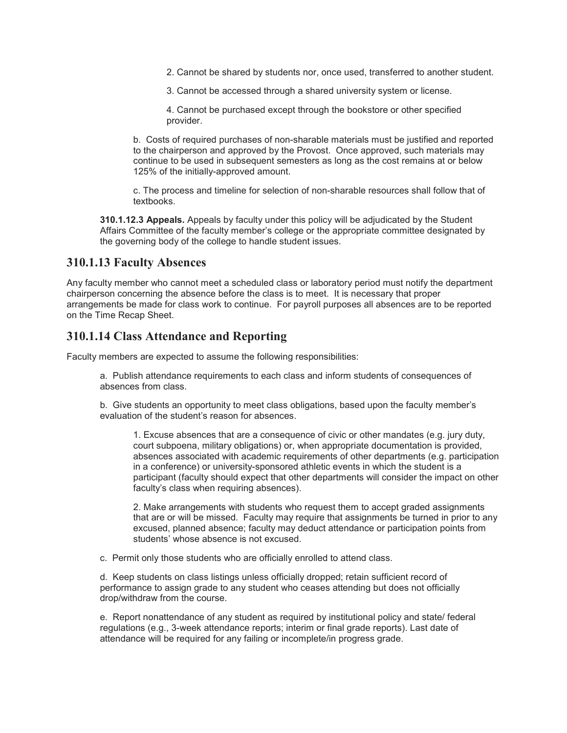2. Cannot be shared by students nor, once used, transferred to another student.

3. Cannot be accessed through a shared university system or license.

4. Cannot be purchased except through the bookstore or other specified provider.

b. Costs of required purchases of non-sharable materials must be justified and reported to the chairperson and approved by the Provost. Once approved, such materials may continue to be used in subsequent semesters as long as the cost remains at or below 125% of the initially-approved amount.

c. The process and timeline for selection of non-sharable resources shall follow that of textbooks.

**310.1.12.3 Appeals.** Appeals by faculty under this policy will be adjudicated by the Student Affairs Committee of the faculty member's college or the appropriate committee designated by the governing body of the college to handle student issues.

### **310.1.13 Faculty Absences**

Any faculty member who cannot meet a scheduled class or laboratory period must notify the department chairperson concerning the absence before the class is to meet. It is necessary that proper arrangements be made for class work to continue. For payroll purposes all absences are to be reported on the Time Recap Sheet.

### **310.1.14 Class Attendance and Reporting**

Faculty members are expected to assume the following responsibilities:

a. Publish attendance requirements to each class and inform students of consequences of absences from class.

b. Give students an opportunity to meet class obligations, based upon the faculty member's evaluation of the student's reason for absences.

1. Excuse absences that are a consequence of civic or other mandates (e.g. jury duty, court subpoena, military obligations) or, when appropriate documentation is provided, absences associated with academic requirements of other departments (e.g. participation in a conference) or university-sponsored athletic events in which the student is a participant (faculty should expect that other departments will consider the impact on other faculty's class when requiring absences).

2. Make arrangements with students who request them to accept graded assignments that are or will be missed. Faculty may require that assignments be turned in prior to any excused, planned absence; faculty may deduct attendance or participation points from students' whose absence is not excused.

c. Permit only those students who are officially enrolled to attend class.

d. Keep students on class listings unless officially dropped; retain sufficient record of performance to assign grade to any student who ceases attending but does not officially drop/withdraw from the course.

e. Report nonattendance of any student as required by institutional policy and state/ federal regulations (e.g., 3-week attendance reports; interim or final grade reports). Last date of attendance will be required for any failing or incomplete/in progress grade.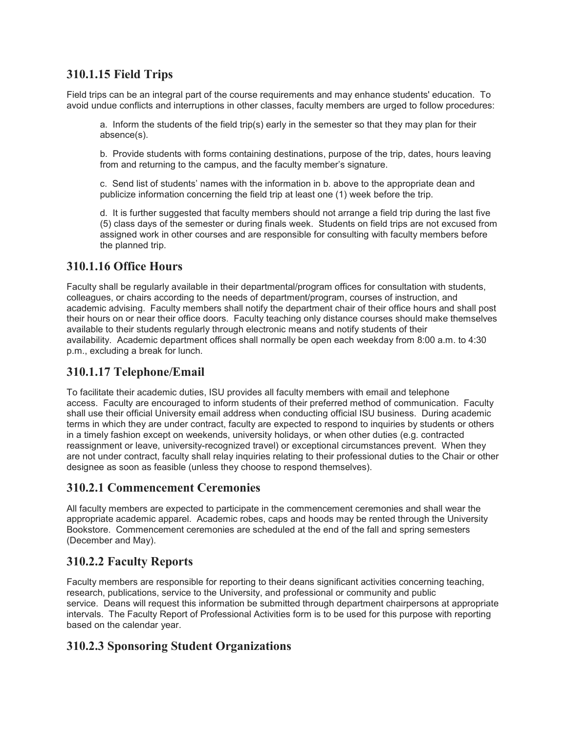## **310.1.15 Field Trips**

Field trips can be an integral part of the course requirements and may enhance students' education. To avoid undue conflicts and interruptions in other classes, faculty members are urged to follow procedures:

a. Inform the students of the field trip(s) early in the semester so that they may plan for their absence(s).

b. Provide students with forms containing destinations, purpose of the trip, dates, hours leaving from and returning to the campus, and the faculty member's signature.

c. Send list of students' names with the information in b. above to the appropriate dean and publicize information concerning the field trip at least one (1) week before the trip.

d. It is further suggested that faculty members should not arrange a field trip during the last five (5) class days of the semester or during finals week. Students on field trips are not excused from assigned work in other courses and are responsible for consulting with faculty members before the planned trip.

## **310.1.16 Office Hours**

Faculty shall be regularly available in their departmental/program offices for consultation with students, colleagues, or chairs according to the needs of department/program, courses of instruction, and academic advising. Faculty members shall notify the department chair of their office hours and shall post their hours on or near their office doors. Faculty teaching only distance courses should make themselves available to their students regularly through electronic means and notify students of their availability. Academic department offices shall normally be open each weekday from 8:00 a.m. to 4:30 p.m., excluding a break for lunch.

## **310.1.17 Telephone/Email**

To facilitate their academic duties, ISU provides all faculty members with email and telephone access. Faculty are encouraged to inform students of their preferred method of communication. Faculty shall use their official University email address when conducting official ISU business. During academic terms in which they are under contract, faculty are expected to respond to inquiries by students or others in a timely fashion except on weekends, university holidays, or when other duties (e.g. contracted reassignment or leave, university-recognized travel) or exceptional circumstances prevent. When they are not under contract, faculty shall relay inquiries relating to their professional duties to the Chair or other designee as soon as feasible (unless they choose to respond themselves).

## **310.2.1 Commencement Ceremonies**

All faculty members are expected to participate in the commencement ceremonies and shall wear the appropriate academic apparel. Academic robes, caps and hoods may be rented through the University Bookstore. Commencement ceremonies are scheduled at the end of the fall and spring semesters (December and May).

## **310.2.2 Faculty Reports**

Faculty members are responsible for reporting to their deans significant activities concerning teaching, research, publications, service to the University, and professional or community and public service. Deans will request this information be submitted through department chairpersons at appropriate intervals. The Faculty Report of Professional Activities form is to be used for this purpose with reporting based on the calendar year.

## **310.2.3 Sponsoring Student Organizations**